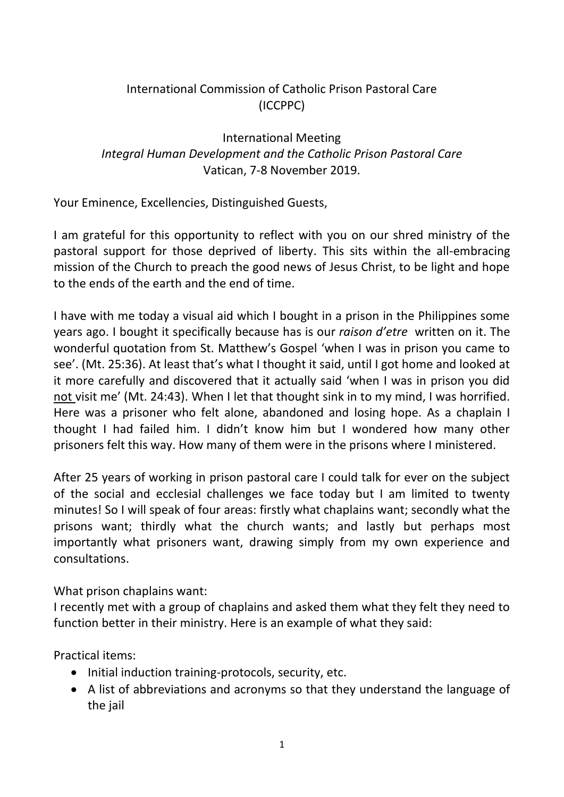## International Commission of Catholic Prison Pastoral Care (ICCPPC)

International Meeting *Integral Human Development and the Catholic Prison Pastoral Care* Vatican, 7-8 November 2019.

Your Eminence, Excellencies, Distinguished Guests,

I am grateful for this opportunity to reflect with you on our shred ministry of the pastoral support for those deprived of liberty. This sits within the all-embracing mission of the Church to preach the good news of Jesus Christ, to be light and hope to the ends of the earth and the end of time.

I have with me today a visual aid which I bought in a prison in the Philippines some years ago. I bought it specifically because has is our *raison d'etre* written on it. The wonderful quotation from St. Matthew's Gospel 'when I was in prison you came to see'. (Mt. 25:36). At least that's what I thought it said, until I got home and looked at it more carefully and discovered that it actually said 'when I was in prison you did not visit me' (Mt. 24:43). When I let that thought sink in to my mind, I was horrified. Here was a prisoner who felt alone, abandoned and losing hope. As a chaplain I thought I had failed him. I didn't know him but I wondered how many other prisoners felt this way. How many of them were in the prisons where I ministered.

After 25 years of working in prison pastoral care I could talk for ever on the subject of the social and ecclesial challenges we face today but I am limited to twenty minutes! So I will speak of four areas: firstly what chaplains want; secondly what the prisons want; thirdly what the church wants; and lastly but perhaps most importantly what prisoners want, drawing simply from my own experience and consultations.

What prison chaplains want:

I recently met with a group of chaplains and asked them what they felt they need to function better in their ministry. Here is an example of what they said:

Practical items:

- Initial induction training-protocols, security, etc.
- A list of abbreviations and acronyms so that they understand the language of the jail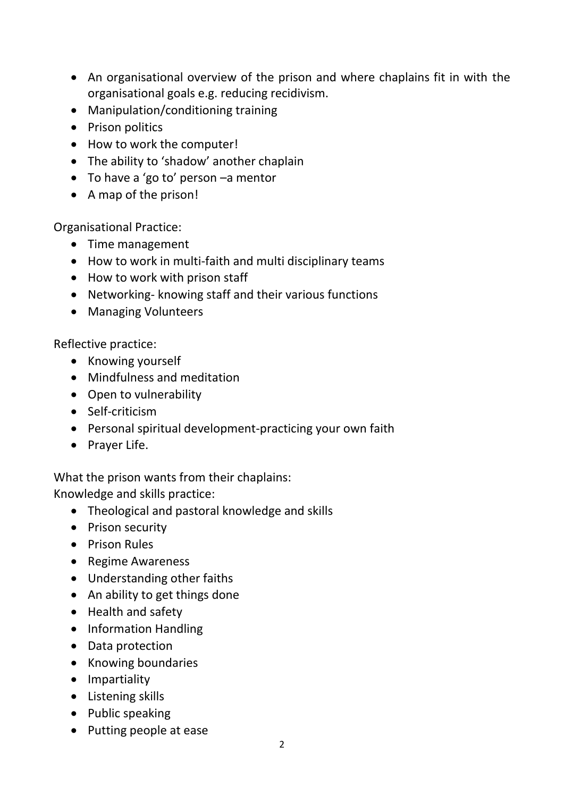- An organisational overview of the prison and where chaplains fit in with the organisational goals e.g. reducing recidivism.
- Manipulation/conditioning training
- Prison politics
- How to work the computer!
- The ability to 'shadow' another chaplain
- To have a 'go to' person –a mentor
- A map of the prison!

Organisational Practice:

- Time management
- How to work in multi-faith and multi disciplinary teams
- How to work with prison staff
- Networking- knowing staff and their various functions
- Managing Volunteers

Reflective practice:

- Knowing yourself
- Mindfulness and meditation
- Open to vulnerability
- Self-criticism
- Personal spiritual development-practicing your own faith
- Prayer Life.

What the prison wants from their chaplains: Knowledge and skills practice:

- Theological and pastoral knowledge and skills
- Prison security
- Prison Rules
- Regime Awareness
- Understanding other faiths
- An ability to get things done
- Health and safety
- Information Handling
- Data protection
- Knowing boundaries
- Impartiality
- Listening skills
- Public speaking
- Putting people at ease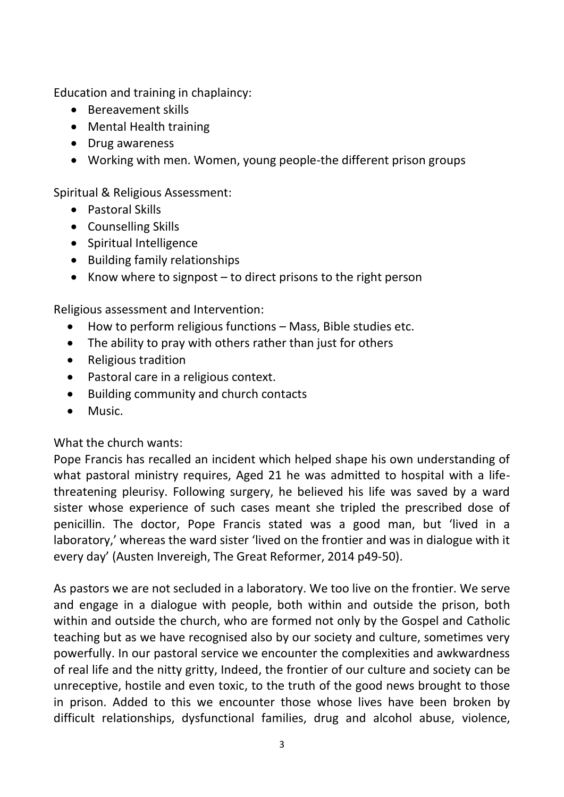Education and training in chaplaincy:

- Bereavement skills
- Mental Health training
- Drug awareness
- Working with men. Women, young people-the different prison groups

Spiritual & Religious Assessment:

- Pastoral Skills
- Counselling Skills
- Spiritual Intelligence
- Building family relationships
- Know where to signpost to direct prisons to the right person

Religious assessment and Intervention:

- How to perform religious functions Mass, Bible studies etc.
- The ability to pray with others rather than just for others
- Religious tradition
- Pastoral care in a religious context.
- Building community and church contacts
- Music.

What the church wants:

Pope Francis has recalled an incident which helped shape his own understanding of what pastoral ministry requires, Aged 21 he was admitted to hospital with a lifethreatening pleurisy. Following surgery, he believed his life was saved by a ward sister whose experience of such cases meant she tripled the prescribed dose of penicillin. The doctor, Pope Francis stated was a good man, but 'lived in a laboratory,' whereas the ward sister 'lived on the frontier and was in dialogue with it every day' (Austen Invereigh, The Great Reformer, 2014 p49-50).

As pastors we are not secluded in a laboratory. We too live on the frontier. We serve and engage in a dialogue with people, both within and outside the prison, both within and outside the church, who are formed not only by the Gospel and Catholic teaching but as we have recognised also by our society and culture, sometimes very powerfully. In our pastoral service we encounter the complexities and awkwardness of real life and the nitty gritty, Indeed, the frontier of our culture and society can be unreceptive, hostile and even toxic, to the truth of the good news brought to those in prison. Added to this we encounter those whose lives have been broken by difficult relationships, dysfunctional families, drug and alcohol abuse, violence,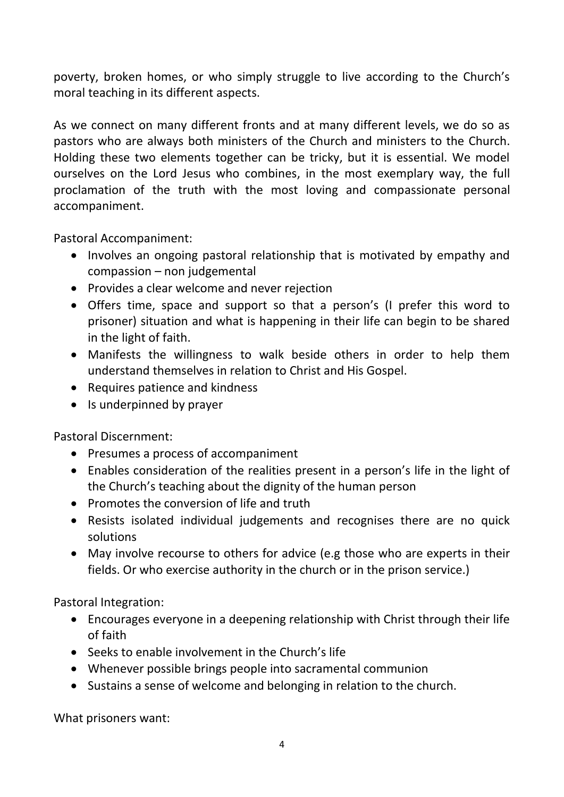poverty, broken homes, or who simply struggle to live according to the Church's moral teaching in its different aspects.

As we connect on many different fronts and at many different levels, we do so as pastors who are always both ministers of the Church and ministers to the Church. Holding these two elements together can be tricky, but it is essential. We model ourselves on the Lord Jesus who combines, in the most exemplary way, the full proclamation of the truth with the most loving and compassionate personal accompaniment.

Pastoral Accompaniment:

- Involves an ongoing pastoral relationship that is motivated by empathy and compassion – non judgemental
- Provides a clear welcome and never rejection
- Offers time, space and support so that a person's (I prefer this word to prisoner) situation and what is happening in their life can begin to be shared in the light of faith.
- Manifests the willingness to walk beside others in order to help them understand themselves in relation to Christ and His Gospel.
- Requires patience and kindness
- Is underpinned by prayer

Pastoral Discernment:

- Presumes a process of accompaniment
- Enables consideration of the realities present in a person's life in the light of the Church's teaching about the dignity of the human person
- Promotes the conversion of life and truth
- Resists isolated individual judgements and recognises there are no quick solutions
- May involve recourse to others for advice (e.g those who are experts in their fields. Or who exercise authority in the church or in the prison service.)

Pastoral Integration:

- Encourages everyone in a deepening relationship with Christ through their life of faith
- Seeks to enable involvement in the Church's life
- Whenever possible brings people into sacramental communion
- Sustains a sense of welcome and belonging in relation to the church.

What prisoners want: